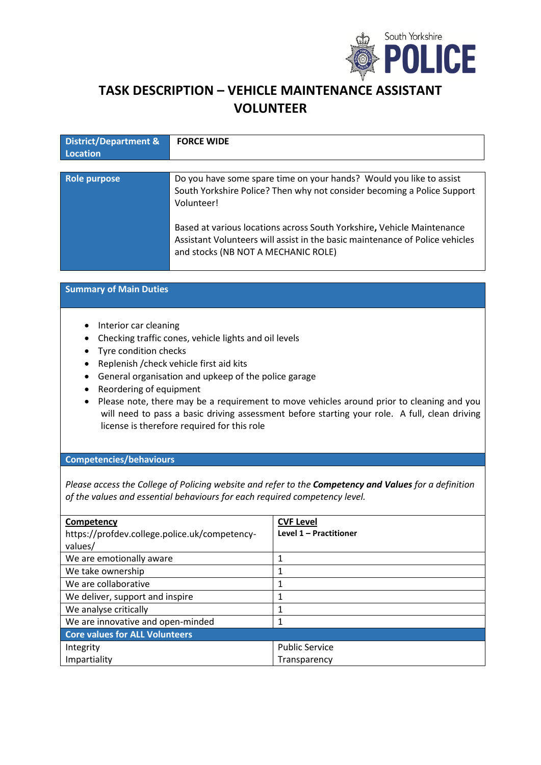

# **TASK DESCRIPTION – VEHICLE MAINTENANCE ASSISTANT VOLUNTEER**

| <b>District/Department &amp;</b> | <b>FORCE WIDE</b>                                                                                                                                                                             |
|----------------------------------|-----------------------------------------------------------------------------------------------------------------------------------------------------------------------------------------------|
| Location                         |                                                                                                                                                                                               |
|                                  |                                                                                                                                                                                               |
| Role purpose                     | Do you have some spare time on your hands? Would you like to assist<br>South Yorkshire Police? Then why not consider becoming a Police Support<br>Volunteer!                                  |
|                                  | Based at various locations across South Yorkshire, Vehicle Maintenance<br>Assistant Volunteers will assist in the basic maintenance of Police vehicles<br>and stocks (NB NOT A MECHANIC ROLE) |

# **Summary of Main Duties**

- Interior car cleaning
- Checking traffic cones, vehicle lights and oil levels
- Tyre condition checks
- Replenish /check vehicle first aid kits
- General organisation and upkeep of the police garage
- Reordering of equipment
- Please note, there may be a requirement to move vehicles around prior to cleaning and you will need to pass a basic driving assessment before starting your role. A full, clean driving license is therefore required for this role

### **Competencies/behaviours**

*Please access the College of Policing website and refer to the Competency and Values for a definition of the values and essential behaviours for each required competency level.*

| Competency<br>https://profdev.college.police.uk/competency- | <b>CVF Level</b><br>Level 1 - Practitioner |  |
|-------------------------------------------------------------|--------------------------------------------|--|
| values/                                                     |                                            |  |
| We are emotionally aware                                    |                                            |  |
| We take ownership                                           |                                            |  |
| We are collaborative                                        |                                            |  |
| We deliver, support and inspire                             |                                            |  |
| We analyse critically                                       |                                            |  |
| We are innovative and open-minded                           |                                            |  |
| <b>Core values for ALL Volunteers</b>                       |                                            |  |
| Integrity                                                   | <b>Public Service</b>                      |  |
| Impartiality                                                | Transparency                               |  |